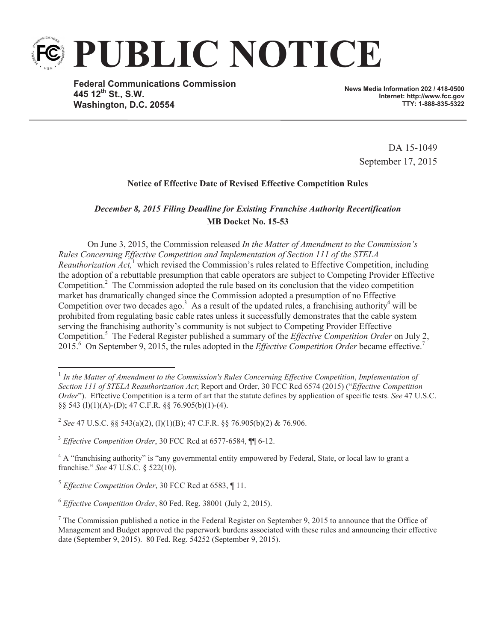

**Federal Communications Commission 445 12th St., S.W. Washington, D.C. 20554**

**News Media Information 202 / 418-0500 Internet: http://www.fcc.gov TTY: 1-888-835-5322**

> DA 15-1049 September 17, 2015

## **Notice of Effective Date of Revised Effective Competition Rules**

## *December 8, 2015 Filing Deadline for Existing Franchise Authority Recertification* **MB Docket No. 15-53**

On June 3, 2015, the Commission released *In the Matter of Amendment to the Commission's Rules Concerning Effective Competition and Implementation of Section 111 of the STELA Reauthorization Act*,<sup>1</sup> which revised the Commission's rules related to Effective Competition, including the adoption of a rebuttable presumption that cable operators are subject to Competing Provider Effective Competition.<sup>2</sup> The Commission adopted the rule based on its conclusion that the video competition market has dramatically changed since the Commission adopted a presumption of no Effective Competition over two decades ago.<sup>3</sup> As a result of the updated rules, a franchising authority<sup>4</sup> will be prohibited from regulating basic cable rates unless it successfully demonstrates that the cable system serving the franchising authority's community is not subject to Competing Provider Effective Competition.<sup>5</sup> The Federal Register published a summary of the *Effective Competition Order* on July 2, 2015.<sup>6</sup> On September 9, 2015, the rules adopted in the *Effective Competition Order* became effective.<sup>7</sup>

<sup>&</sup>lt;sup>1</sup> In the Matter of Amendment to the Commission's Rules Concerning Effective Competition, Implementation of *Section 111 of STELA Reauthorization Act*; Report and Order, 30 FCC Rcd 6574 (2015) ("*Effective Competition Order*"). Effective Competition is a term of art that the statute defines by application of specific tests. *See* 47 U.S.C. §§ 543 (l)(1)(A)-(D); 47 C.F.R. §§ 76.905(b)(1)-(4).

<sup>2</sup> *See* 47 U.S.C. §§ 543(a)(2), (l)(1)(B); 47 C.F.R. §§ 76.905(b)(2) & 76.906.

<sup>3</sup> *Effective Competition Order*, 30 FCC Rcd at 6577-6584, ¶¶ 6-12.

<sup>&</sup>lt;sup>4</sup> A "franchising authority" is "any governmental entity empowered by Federal, State, or local law to grant a franchise." *See* 47 U.S.C. § 522(10).

<sup>5</sup> *Effective Competition Order*, 30 FCC Rcd at 6583, ¶ 11.

<sup>6</sup> *Effective Competition Order*, 80 Fed. Reg. 38001 (July 2, 2015).

 $7$  The Commission published a notice in the Federal Register on September 9, 2015 to announce that the Office of Management and Budget approved the paperwork burdens associated with these rules and announcing their effective date (September 9, 2015). 80 Fed. Reg. 54252 (September 9, 2015).